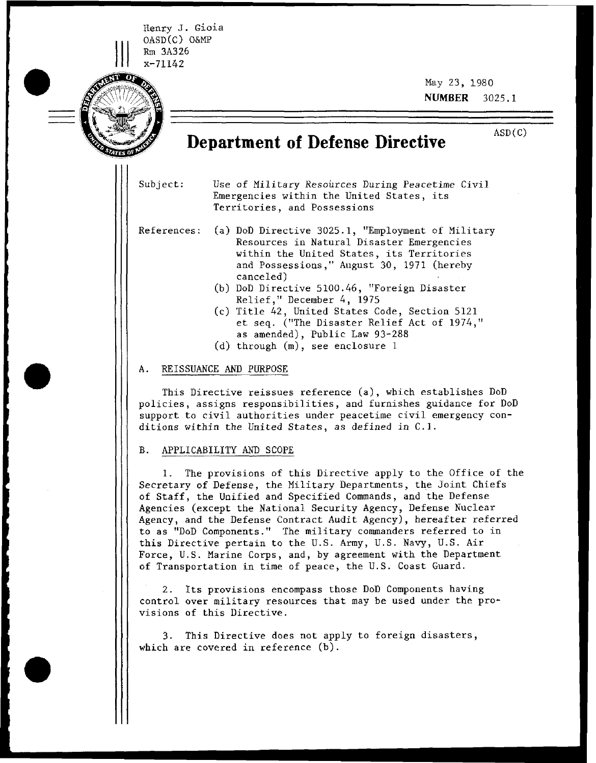I Henry **J.** Gioia OASD(C) O&MP ||| Rm 3A326  $\begin{array}{c}\n\begin{array}{c}\n\text{OASD(C)} \\
\text{Rm} & 3A326 \\
\text{x}-71142\n\end{array}\n\end{array}$ 

-  $=$ 

May 23, 1980 NUMBER 3025.1

# ASD ( **C) Department of Defense Directive**

Subject: Use of Military Resources During Peacetime Civil Emergencies within the United States, its Territories, and Possessions

References: (a) DoD Directive 3025.1, "Employment of Military Resources in Natural Disaster Emergencies within the United States, its Territories and Possessions," August 30, 1971 (hereby canceled)

- (b) DoD Directive 5100.46, "Foreign Disaster Relief ," December *4,* <sup>1975</sup>
- (c) Title 42, United States Code, Section 5121 et seq. ("The Disaster Relief Act of 1974," as amended), Public Law 93-288
- (d) through (m), see enclosure 1

#### A. REISSUANCE AND PURPOSE

This Directive reissues reference (a), which establishes DoD policies, assigns responsibilities, and furnishes guidance for DoD support to civil authorities under peacetime civil emergency conditions within the United States, as defined in C.1.

#### B. APPLICABILITY AND SCOPE

1. The provisions of this Directive apply to the Office of the Secretary of Defense, the Military Departments, the Joint Chiefs of Staff, the Unified and Specified Commands, and the Defense Agencies (except the National Security Agency, Defense Nuclear Agency, and the Defense Contract Audit Agency), hereafter referred to as "DoD Components." The military commanders referred to in this Directive pertain to the U.S. Army, U.S. Navy, U.S. Air Force, U.S. Marine Corps, and, by agreement with the Department of Transportation in time of peace, the U.S. Coast Guard.

2. Its provisions encompass those DoD Components having control over military resources that may be used under the provisions of this Directive.

3. This Directive does not apply to foreign disasters, which are covered in reference (b).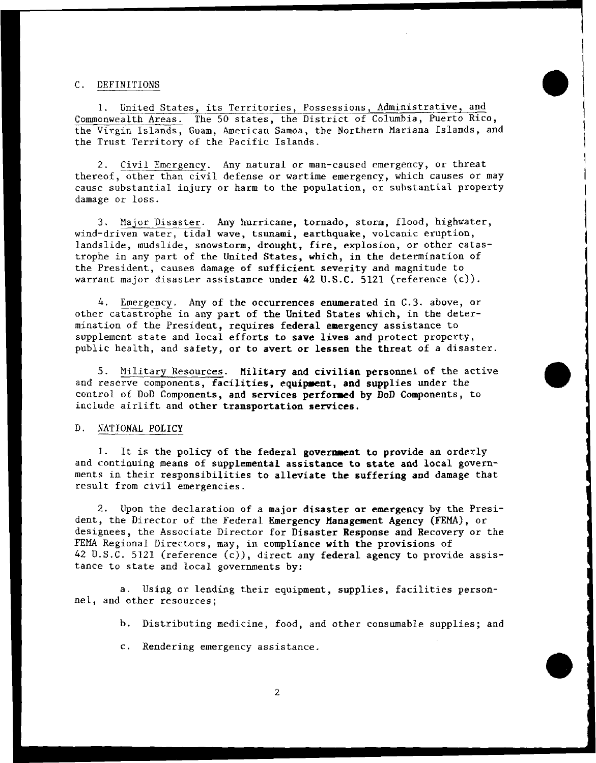#### C. DEFINITIONS

1. United States, its Territories, Possessions, Administrative, and Commonwealth Areas. The 50 states, the District of Columbia, Puerto Rico, the Virgin Islands, Guam, American Samoa, the Northern Mariana Islands, and the Trust Territory of the Pacific Islands.

2. Civil Emergency. Any natural or man-caused emergency, or threat thereof, other than civil defense or wartime emergency, which causes or may cause substantial injury or harm to the population, or substantial property damage or loss.

3. Major Disaster. Any hurricane, tornado, storm, flood, highwater, wind-driven water, tidal wave, tsunami, earthquake, volcanic eruption, landslide, mudslide, snowstorm, drought, fire, explosion, or other catastrophe in any part of the United States, which, in the determination of the President, causes damage of sufficient severity and magnitude to warrant major disaster assistance under 42 **U.S.C.** 5121 (reference (c)) .

4. Emergency. Any of the occurrences enumerated in C.3. above, or other catastrophe in any part of the United States which, in the determination of the President, requires federal emergency assistance to supplement state and local efforts to save lives and protect property, public health, and safety, or to avert or lessen the threat of a disaster.

5. Military Resources. Military and civilian personnel of the active and reserve components, facilities, equipment, and supplies under the control of DoD Components, and services performed by DoD Components, to include airlift and other transportation services.

#### D. NATIONAL POLICY

1. It is the policy of the federal government to provide an orderly and continuing means of supplemental assistance to state and local governments in their responsibilities to alleviate the suffering and damage that result from civil emergencies.

2. Upon the declaration of a major disaster or emergency by the President, the Director of the Federal Emergency Management Agency **(FEMA),** or designees, the Associate Director for Disaster Response and Recovery or the FEMA Regional Directors, may, in compliance with the provisions of 42 U.S.C. 5121 (reference (c)), direct any federal agency to provide assistance to state and local governments by:

a. Using or lending their equipment, supplies, facilities personnel, and other resources;

- b. Distributing medicine, food, and other consumable supplies; and
- c. Rendering emergency assistance.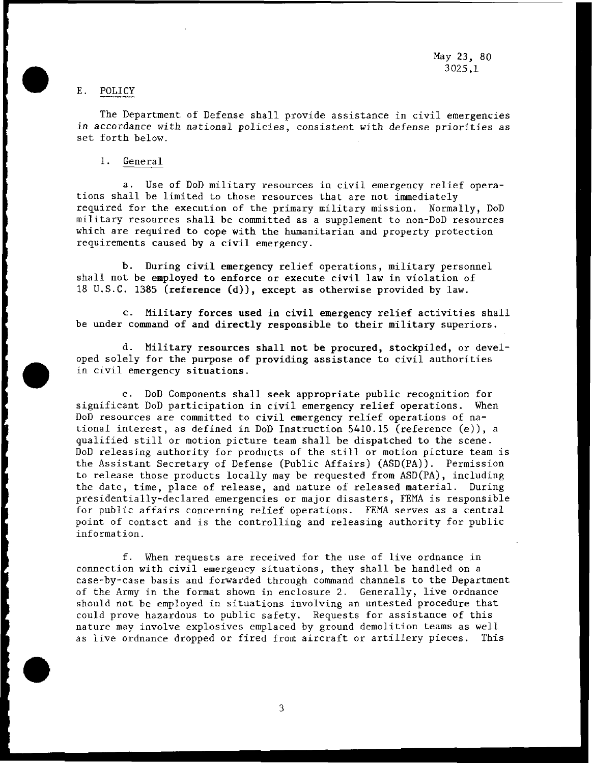May **23,** 80 3025.1

# E. POLICY

The Department of Defense shall provide assistance in civil emergencies in accordance with national policies, consistent with defense priorities as set forth below.

1. General

a. Use of DoD military resources in civil emergency relief operations shall be limited to those resources that are not immediately required for the execution of the primary military mission. Normally, DoD military resources shall be committed as a supplement to non-DoD resources which are required to cope with the humanitarian and property protection requirements caused by a civil emergency.

b. During civil emergency relief operations, military personnel shall not be employed to enforce or execute civil law in violation of 18 U.S.C. 1385 (reference (d)), except as otherwise provided by law.

c. Military forces used in civil emergency relief activities shall be under command of and directly responsible to their military superiors.

d. Military resources shall not be procured, stockpiled, or developed solely for the purpose of providing assistance to civil authorities in civil emergency situations.

e. DoD Components shall seek appropriate public recognition for significant DoD participation in civil emergency relief operations. When DoD resources are committed to civil emergency relief operations of national interest, as defined in DoD Instruction 5410.15 (reference (e)), a qualified still or motion picture team shall be dispatched to the scene. DoD releasing authority for products of the still or motion picture team is the Assistant Secretary of Defense (Public Affairs) (ASD(PA)). Permission to release those products locally may be requested from ASD(PA), including the date, time, place of release, and nature of released material. During presidentially-declared emergencies or major disasters, FEMA is responsible for public affairs concerning relief operations. FEMA serves as a central point of contact and is the controlling and releasing authority for public information.

f. When requests are received for the use of live ordnance in connection with civil emergency situations, they shall be handled on a case-by-case basis and forwarded through command channels to the Department of the Army in the format shown in enclosure 2. Generally, live ordnance should not be employed in situations involving an untested procedure that could prove hazardous to public safety. Requests for assistance of this nature may involve explosives emplaced by ground demolition teams as well as live ordnance dropped or fired from aircraft or artillery pieces. This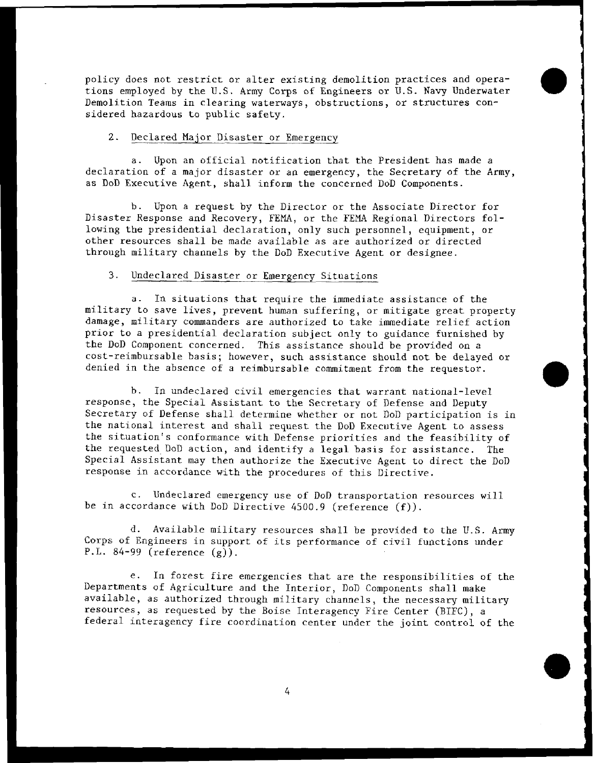policy does not restrict or alter existing demolition practices and operations employed by the U.S. Army Corps of Engineers or U.S. Navy Underwater Demolition Teams in clearing waterways, obstructions, or structures considered hazardous to public safety.

## 2. Declared Major Disaster or Emergency

a. Upon an official notification that the President has made a declaration of a major disaster or an emergency, the Secretary of the Army, as DoD Executive Agent, shall inform the concerned DoD Components.

b. Upon a request by the Director or the Associate Director for Disaster Response and Recovery, FEMA, or the FEMA Regional Directors following the presidential declaration, only such personnel, equipment, or other resources shall be made available as are authorized or directed through military channels by the DoD Executive Agent or designee.

#### 3. Undeclared Disaster or Emergency Situations

a. In situations that require the immediate assistance of the military to save lives, prevent human suffering, or mitigate great property damage, military commanders are authorized to take immediate relief action prior to a presidential declaration subject only to guidance furnished by the DoD Component concerned. This assistance should be provided on a cost-reimbursable basis; however, such assistance should not be delayed or denied in the absence of a reimbursable commitment from the requestor.

b. In undeclared civil emergencies that warrant national-level response, the Special Assistant to the Secretary of Defense and Deputy Secretary of Defense shall determine whether or not DoD participation is in the national interest and shall request the DoD Executive Agent to assess the situation's conformance with Defense priorities and the feasibility of the requested DoD action, and identify a legal basis for assistance. The Special Assistant may then authorize the Executive Agent to direct the DoD response in accordance with the procedures of this Directive.

c. Undeclared emergency use of DoD transportation resources will be in accordance with DoD Directive 4500.9 (reference (f)).

d. Available military resources shall be provided to the U.S. Army Corps of Engineers in support of its performance of civil functions under P.L. 84-99 (reference (g)).

e. In forest fire emergencies that are the responsibilities of the Departments of Agriculture and the Interior, DoD Components shall make available, as authorized through military channels, the necessary military resources, as requested by the Boise Interagency Fire Center (BIPC), a federal interagency fire coordination center under the joint control of the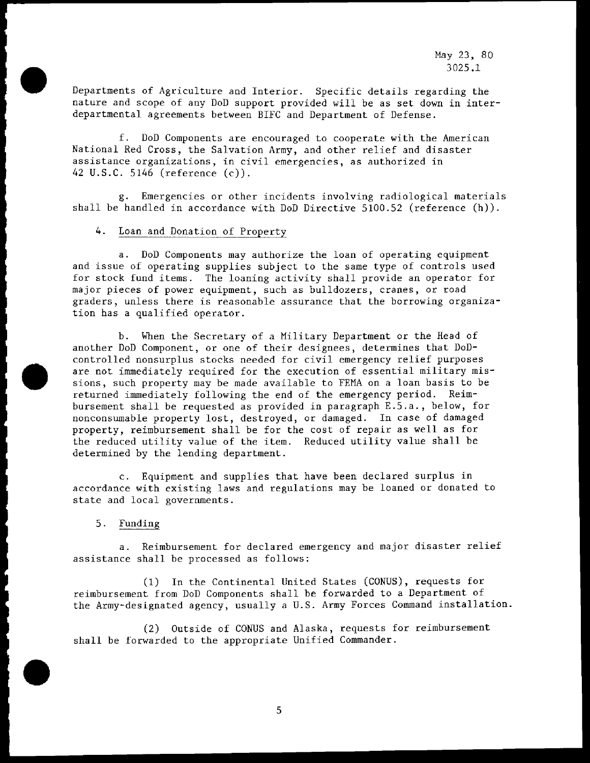Departments of Agriculture and Interior. Specific details regarding the nature and scope of any DoD support provided will be as set down in interdepartmental agreements between BIFC and Department of Defense.

f. DoD Components are encouraged to cooperate with the American National Red Cross, the Salvation Army, and other relief and disaster assistance organizations, in civil emergencies, as authorized in 42 U.S.C. 5146 (reference (c)).

g. Emergencies or other incidents involving radiological materials shall be handled in accordance with DoD Directive 5100.52 (reference (h)).

#### *4.* Loan and Donation of Property

a. DoD Components may authorize the loan of operating equipment and issue of operating supplies subject to the same type of controls used for stock fund items. The loaning activity shall provide an operator for major pieces of power equipment, such as bulldozers, cranes, or road graders, unless there is reasonable assurance that the borrowing organization has a qualified operator.

b. When the Secretary of a Military Department or the Head of another DoD Component, or one of their designees, determines that DoDcontrolled nonsurplus stocks needed for civil emergency relief purposes are not immediately required for the execution of essential military missions, such property may be made available to FEMA on a loan basis to be returned immediately following the end of the emergency period. Reimbursement shall be requested as provided in paragraph E.5.a., below, for nonconsumable property lost, destroyed, or damaged. In case of damaged property, reimbursement shall be for the cost of repair as well as for the reduced utility value of the item. Reduced utility value shall be determined by the lending department.

c. Equipment and supplies that have been declared surplus in accordance with existing laws and regulations may be loaned or donated to state and local governments.

5. Funding

a. Reimbursement for declared emergency and major disaster relief assistance shall be processed as follows:

(1) In the Continental United States (COWS), requests for reimbursement from DoD Components shall be forwarded to a Department of the Army-designated agency, usually a U.S. Army Forces Command installation.

(2) Outside of COWS and Alaska, requests for reimbursement shall be forwarded to the appropriate Unified Commander.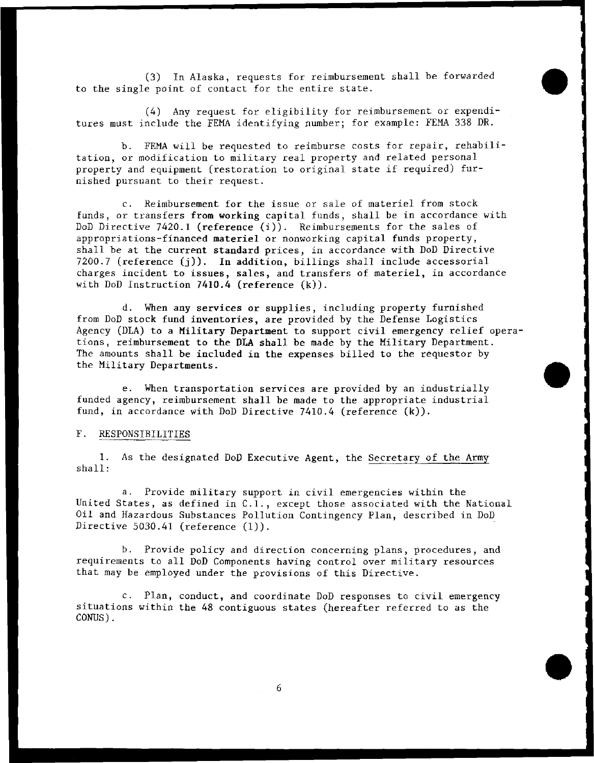(3) In Alaska, requests for reimbursement shall be forwarded to the single point of contact for the entire state.

*(4)* Any request for eligibility for reimbursement or expenditures must include the FEMA identifying number; for example: FEMA 338 DR.

b. FEMA will be requested to reimburse costs for repair, rehabilitation, or modification to military real property and related personal property and equipment (restoration to original state if required) furnished pursuant to their request.

c. Reimbursement for the issue or sale of materiel from stock funds, or transfers from working capital funds, shall be in accordance with DoD Directive 7420.1 (reference (i)). Reimbursements for the sales of appropriations-financed materiel or nonworking capital funds property, shall be at the current standard prices, in accordance with DoD Directive 7200.7 (reference (j)). In addition, billings shall include accessorial charges incident to issues, sales, and transfers of materiel, in accordance with DoD Instruction 7410.4 (reference  $(k)$ ).

d. When any services or supplies, including property furnished from DoD stock fund inventories, are provided by the Defense Logistics Agency (DLA) to a Military Department to support civil emergency relief operations, reimbursement to the **DLA** shall be made by the Military Department. The amounts shall be included in the expenses billed to the requestor by the Military Departments.

e. When transportation services are provided by an industrially funded agency, reimbursement shall be made to the appropriate industrial fund, in accordance with DoD Directive 7410.4 (reference (k)).

#### F. RESPONSIBILITIES

**1.** AS the designated DoD Executive Agent, the Secretary of the Army shall:

a. Provide military support in civil emergencies within the United States, as defined in C.I., except those associated with the National Oil and Hazardous Substances Pollution Contingency Plan, described in DoD Directive 5030.41 (reference (1)).

b. Provide policy and direction concerning plans, procedures, and requirements to all DoD Components having control over military resources that may be employed under the provisions of this Directive.

c. Plan, conduct, and coordinate DoD responses to civil emergency situations within the 48 contiguous states (hereafter referred to as the CONUS) .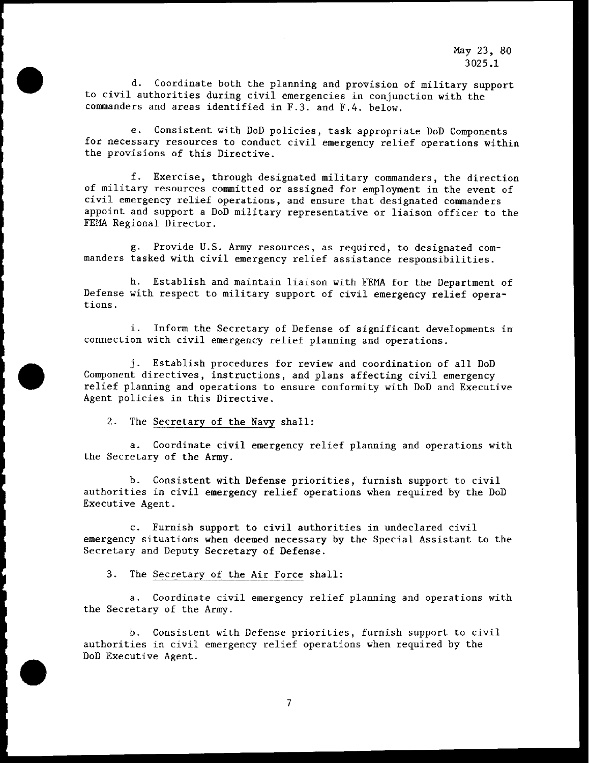d. Coordinate both the planning and provision of military support to civil authorities during civil emergencies in conjunction with the commanders and areas identified in F.3. and F.4. below.

e. Consistent with DoD policies, task appropriate DoD Components for necessary resources to conduct civil emergency relief operations within the provisions of this Directive.

f. Exercise, through designated military commanders, the direction of military resources committed or assigned for employment in the event of civil emergency relief operations, and ensure that designated commanders appoint and support a DoD military representative or liaison officer to the FEMA Regional Director.

g. Provide U.S. Army resources, as required, to designated commanders tasked with civil emergency relief assistance responsibilities.

h. Establish and maintain liaison with FEMA for the Department of Defense with respect to military support of civil emergency relief operations.

i. Inform the Secretary of Defense of significant developments in connection with civil emergency relief planning and operations.

j. Establish procedures for review and coordination of all DoD Component directives, instructions, and plans affecting civil emergency relief planning and operations to ensure conformity with DoD and Executive Agent policies in this Directive.

**2.** The Secretary of the Navy shall:

a. Coordinate civil emergency relief planning and operations with the Secretary of the Army.

b. Consistent with Defense priorities, furnish support to civil authorities in civil emergency relief operations when required by the DoD Executive Agent.

c. Furnish support to civil authorities in undeclared civil emergency situations when deemed necessary by the Special Assistant to the Secretary and Deputy Secretary of Defense.

3. The Secretary of the Air Force shall:

a. Coordinate civil emergency relief planning and operations with the Secretary of the Army.

b. Consistent with Defense priorities, furnish support to civil authorities in civil emergency relief operations when required by the DoD Executive Agent.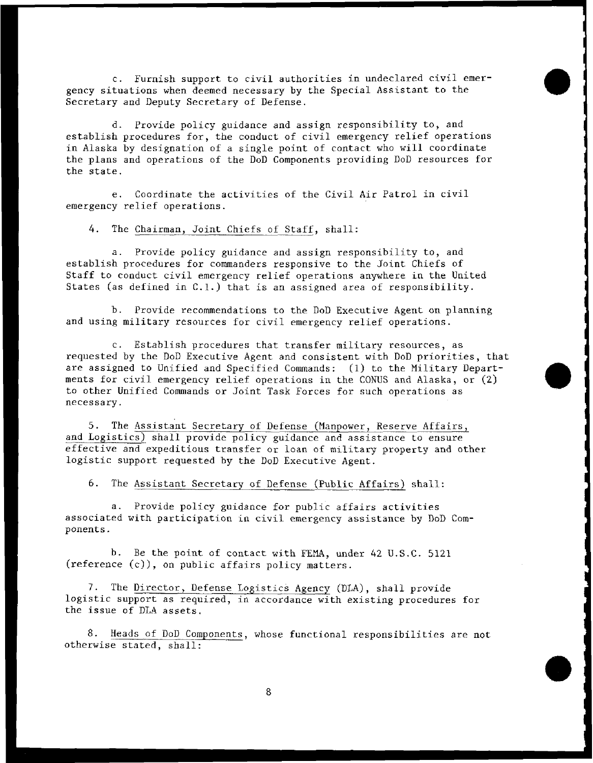c. Furnish support to civil authorities in undeclared civil emergency situations when deemed necessary by the Special Assistant to the Secretary and Deputy Secretary of Defense.

d. Provide policy guidance and assign responsibility to, and establish procedures for, the conduct of civil emergency relief operations in Alaska by designation of a single point of contact who will coordinate the plans and operations of the DoD Components providing DoD resources for the state.

e. Coordinate the activities of the Civil Air Patrol in civil emergency relief operations.

4. The Chairman, Joint Chiefs of Staff, shall:

a. Provide policy guidance and assign responsibility to, and establish procedures for commanders responsive to the Joint Chiefs of Staff to conduct civil emergency relief operations anywhere in the United States (as defined in C.1.) that is an assigned area of responsibility.

b. Provide recommendations to the DoD Executive Agent on planning and using military resources for civil emergency relief operations.

c. Establish procedures that transfer military resources, as requested by the DoD Executive Agent and consistent with DoD priorities, that are assigned to Unified and Specified Commands: (1) to the Military Departments for civil emergency relief operations in the CONUS and Alaska, or (2) to other Unified Commands or Joint Task Forces for such operations as necessary.

5. The Assistant Secretary of Defense (Manpower, Reserve Affairs, and Logistics) shall provide policy guidance and assistance to ensure effective and expeditious transfer or loan of military property and other logistic support requested by the DoD Executive Agent.

6. The Assistant Secretary of Defense (Public Affairs) shall:

a. Provide policy guidance for public affairs activities associated with participation in civil emergency assistance by DoD Components.

b. Be the point of contact with FEMA, under 42 U.S.C. 5121  $(reference (c))$ , on public affairs policy matters.

7. The Director, Defense Logistics Agency (DLA), shall provide logistic support as required, in accordance with existing procedures for the issue of DLA assets.

8. Heads of DoD Components, whose functional responsibilities are not otherwise stated, shall: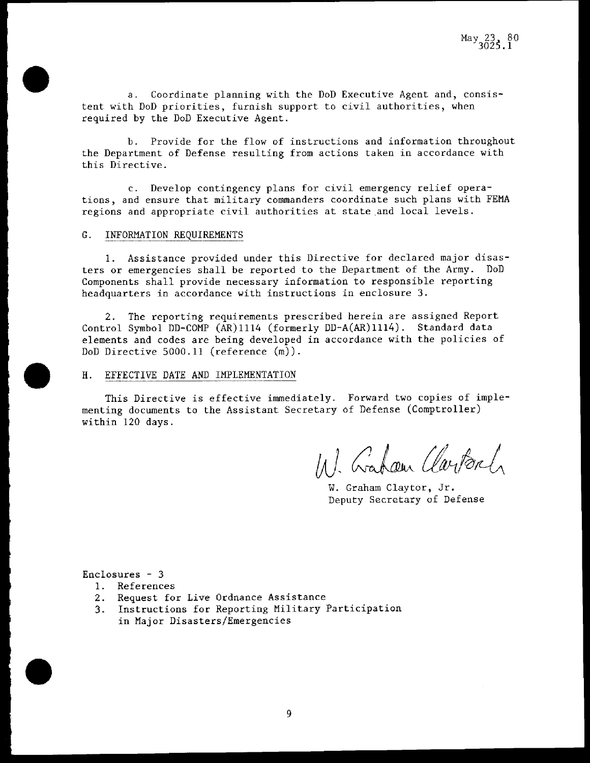a. Coordinate planning with the DoD Executive Agent and, consistent with DoD priorities, furnish support to civil authorities, when required by the DoD Executive Agent.

b. Provide for the flow of instructions and information throughout the Department of Defense resulting from actions taken in accordance with this Directive.

c. Develop contingency plans for civil emergency relief operations, and ensure that military commanders coordinate such plans with FEMA regions and appropriate civil authorities at state and local levels.

# G. INFORMATION REOUIREMENTS

1. Assistance provided under this Directive for declared major disasters or emergencies shall be reported to the Department of the Army. DoD Components shall provide necessary information to responsible reporting headquarters in accordance with instructions in enclosure **3.** 

2. The reporting requirements prescribed herein are assigned Report Control Symbol DD-COMP (AR)1114 (formerly DD-A(AR)1114). Standard data elements and codes are being developed in accordance with the policies of DoD Directive 5000.11 (reference (m)).

# H. EFFECTIVE DATE AND IMPLEMENTATION

This Directive is effective immediately. Forward two copies of implementing documents to the Assistant Secretary of Defense (Comptroller) within 120 days.

11). Gabour Clarken

W. Graham Claytor, Jr. Deputy Secretary of Defense

Enclosures - **3** 

- 1. References
- **2.** Request for Live Ordnance Assistance
- **3.** Instructions for Reporting Military Participation in Major Disasters/Emergencies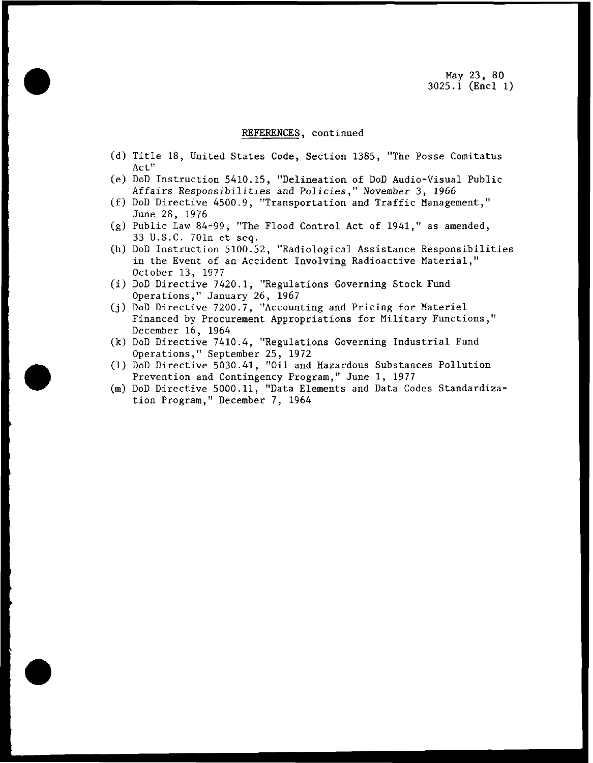#### REFERENCES, continued

- (d) Title 18, United States Code, Section 1385, "The Posse Comitatus Act"
- (e) DoD Instruction 5410.15, "Delineation of DoD Audio-visual Public Affairs Responsibilities and Policies," November 3, 1966
- (f) DoD Directive 4500.9, "Transportation and Traffic Management," June 28, 1976
- (g) Public Law 84-99, "The Flood Control Act of 1941," as amended, 33 U.S.C. 701n et seq.
- (h) DoD Instruction 5100.52, "Radiological Assistance Responsibilities in the Event of an Accident Involving Radioactive Material," October 13, 1977
- (i) DoD Directive 7420.1, "Regulations Governing Stock Fund Operations," January 26, 1967
- (j) DoD Directive 7200.7, "Accounting and Pricing for Materiel Financed by Procurement Appropriations for Military Functions," December 16, 1964
- (k) DoD Directive 7410.4, "Regulations Governing Industrial Fund Operations," September 25, 1972
- (1) DoD Directive 5030.41, "Oil and Hazardous Substances Pollution Prevention and Contingency Program," June 1, 1977
- (m) DoD Directive 5000.11, "Data Elements and Data Codes Standardization Program," December 7, 1964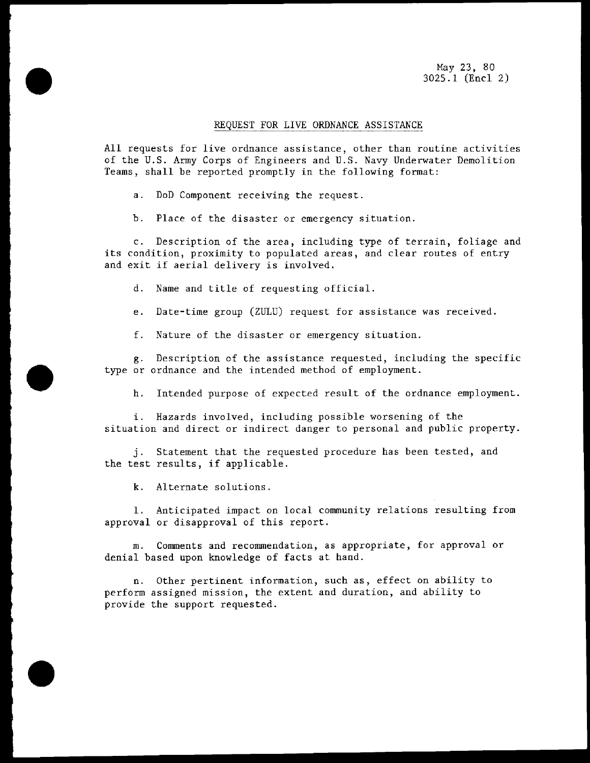May 23, 80 3025.1 (Encl 2)

## REQUEST FOR LIVE ORDNANCE ASSISTANCE

All requests for live ordnance assistance, other than routine activities of the U.S. Army Corps of Engineers and U.S. Navy Underwater Demolition Teams, shall be reported promptly in the following format:

a. DoD Component receiving the request

b. Place of the disaster or emergency situation.

c. Description of the area, including type of terrain, foliage and its condition, proximity to populated areas, and clear routes of entry and exit if aerial delivery is involved.

d. Name and title of requesting official

e. Date-time group (ZULU) request for assistance was received.

f. Nature of the disaster or emergency situation.

g. Description of the assistance requested, including the specific type or ordnance and the intended method of employment.

h. Intended purpose of expected result of the ordnance employment.

i. Hazards involved, including possible worsening of the situation and direct or indirect danger to personal and public property.

j. Statement that the requested procedure has been tested, and the test results, if applicable.

k. Alternate solutions

1. Anticipated impact on local community relations resulting from approval or disapproval of this report.

m. Comments and recommendation, as appropriate, for approval or denial based upon knowledge of facts at hand.

n. Other pertinent information, such as, effect on ability to perform assigned mission, the extent and duration, and ability to provide the support requested.